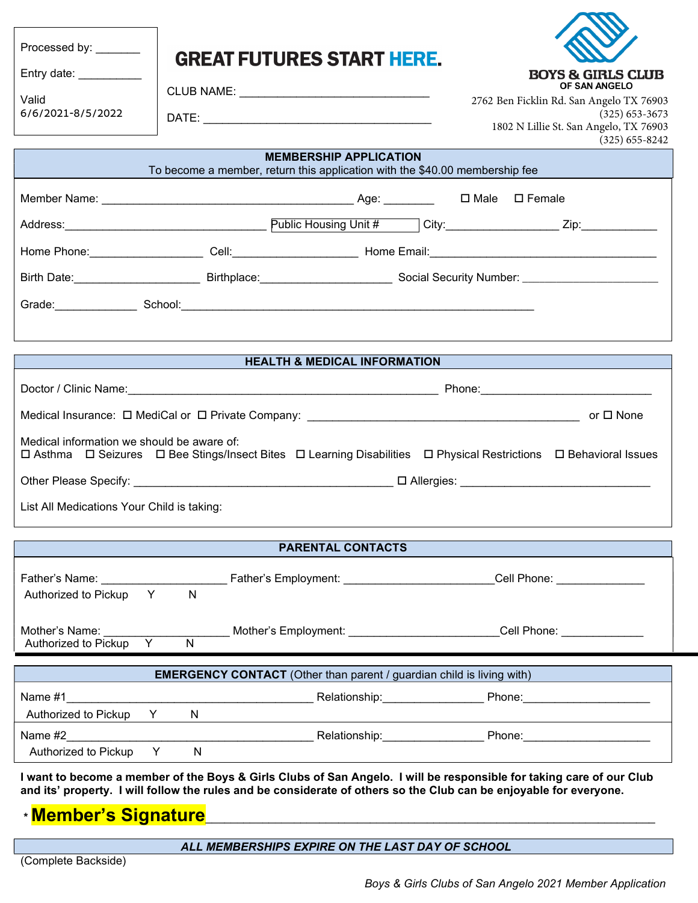| Processed by: _______                                                                                                                                                                                                                      |                                                                                                                                         |                                         |                                                                                                                                                                                                                                     |  |  |  |  |
|--------------------------------------------------------------------------------------------------------------------------------------------------------------------------------------------------------------------------------------------|-----------------------------------------------------------------------------------------------------------------------------------------|-----------------------------------------|-------------------------------------------------------------------------------------------------------------------------------------------------------------------------------------------------------------------------------------|--|--|--|--|
| Entry date: __________                                                                                                                                                                                                                     | <b>GREAT FUTURES START HERE.</b>                                                                                                        |                                         | <b>BOYS &amp; GIRLS CLUB</b>                                                                                                                                                                                                        |  |  |  |  |
|                                                                                                                                                                                                                                            |                                                                                                                                         |                                         | OF SAN ANGELO                                                                                                                                                                                                                       |  |  |  |  |
| Valid<br>6/6/2021-8/5/2022                                                                                                                                                                                                                 |                                                                                                                                         |                                         | 2762 Ben Ficklin Rd. San Angelo TX 76903<br>$(325)$ 653-3673                                                                                                                                                                        |  |  |  |  |
|                                                                                                                                                                                                                                            |                                                                                                                                         |                                         | 1802 N Lillie St. San Angelo, TX 76903<br>$(325)$ 655-8242                                                                                                                                                                          |  |  |  |  |
| <b>MEMBERSHIP APPLICATION</b><br>To become a member, return this application with the \$40.00 membership fee                                                                                                                               |                                                                                                                                         |                                         |                                                                                                                                                                                                                                     |  |  |  |  |
|                                                                                                                                                                                                                                            |                                                                                                                                         |                                         |                                                                                                                                                                                                                                     |  |  |  |  |
|                                                                                                                                                                                                                                            |                                                                                                                                         |                                         | Public Housing Unit # City: City: Zip: Zip:                                                                                                                                                                                         |  |  |  |  |
|                                                                                                                                                                                                                                            |                                                                                                                                         |                                         |                                                                                                                                                                                                                                     |  |  |  |  |
|                                                                                                                                                                                                                                            | Birth Date: _______________________________Birthplace: ______________________________Social Security Number: __________________________ |                                         |                                                                                                                                                                                                                                     |  |  |  |  |
|                                                                                                                                                                                                                                            |                                                                                                                                         |                                         |                                                                                                                                                                                                                                     |  |  |  |  |
|                                                                                                                                                                                                                                            |                                                                                                                                         |                                         |                                                                                                                                                                                                                                     |  |  |  |  |
|                                                                                                                                                                                                                                            |                                                                                                                                         |                                         |                                                                                                                                                                                                                                     |  |  |  |  |
|                                                                                                                                                                                                                                            |                                                                                                                                         | <b>HEALTH &amp; MEDICAL INFORMATION</b> |                                                                                                                                                                                                                                     |  |  |  |  |
|                                                                                                                                                                                                                                            |                                                                                                                                         |                                         |                                                                                                                                                                                                                                     |  |  |  |  |
|                                                                                                                                                                                                                                            |                                                                                                                                         |                                         |                                                                                                                                                                                                                                     |  |  |  |  |
| Medical information we should be aware of:                                                                                                                                                                                                 |                                                                                                                                         |                                         | □ Asthma □ Seizures □ Bee Stings/Insect Bites □ Learning Disabilities □ Physical Restrictions □ Behavioral Issues                                                                                                                   |  |  |  |  |
|                                                                                                                                                                                                                                            |                                                                                                                                         |                                         |                                                                                                                                                                                                                                     |  |  |  |  |
| List All Medications Your Child is taking:                                                                                                                                                                                                 |                                                                                                                                         |                                         |                                                                                                                                                                                                                                     |  |  |  |  |
|                                                                                                                                                                                                                                            |                                                                                                                                         | <b>PARENTAL CONTACTS</b>                |                                                                                                                                                                                                                                     |  |  |  |  |
|                                                                                                                                                                                                                                            |                                                                                                                                         |                                         |                                                                                                                                                                                                                                     |  |  |  |  |
|                                                                                                                                                                                                                                            |                                                                                                                                         |                                         |                                                                                                                                                                                                                                     |  |  |  |  |
| Authorized to Pickup<br>Y                                                                                                                                                                                                                  | $\mathsf{N}$                                                                                                                            |                                         |                                                                                                                                                                                                                                     |  |  |  |  |
| Mother's Name:                                                                                                                                                                                                                             |                                                                                                                                         |                                         | Mother's Employment: Cell Phone:                                                                                                                                                                                                    |  |  |  |  |
| Authorized to Pickup<br>Y                                                                                                                                                                                                                  | N                                                                                                                                       |                                         |                                                                                                                                                                                                                                     |  |  |  |  |
| <b>EMERGENCY CONTACT</b> (Other than parent / guardian child is living with)                                                                                                                                                               |                                                                                                                                         |                                         |                                                                                                                                                                                                                                     |  |  |  |  |
| Name #1                                                                                                                                                                                                                                    |                                                                                                                                         |                                         | Relationship: Phone: Phone:                                                                                                                                                                                                         |  |  |  |  |
| Authorized to Pickup                                                                                                                                                                                                                       | Y N<br>N                                                                                                                                |                                         |                                                                                                                                                                                                                                     |  |  |  |  |
| Name #2                                                                                                                                                                                                                                    |                                                                                                                                         |                                         | <b>Example 2018</b> Relationship: The Phone: Phone: 2019 Phone: 2019 Phone: 2019 Phone: 2019 Phone: 2019 Phone: 2019 Phone: 2019 Phone: 2019 Phone: 2019 Phone: 2019 Phone: 2019 Phone: 2019 Phone: 2019 Phone: 2019 Phone: 2019 Ph |  |  |  |  |
| Authorized to Pickup                                                                                                                                                                                                                       | Y.<br>N.                                                                                                                                |                                         |                                                                                                                                                                                                                                     |  |  |  |  |
| I want to become a member of the Boys & Girls Clubs of San Angelo. I will be responsible for taking care of our Club<br>and its' property. I will follow the rules and be considerate of others so the Club can be enjoyable for everyone. |                                                                                                                                         |                                         |                                                                                                                                                                                                                                     |  |  |  |  |

 $*$  <mark>Member's Signature</mark>

ALL MEMBERSHIPS EXPIRE *ON THE LAST DAY OF SCHOOL*

(Complete Backside)